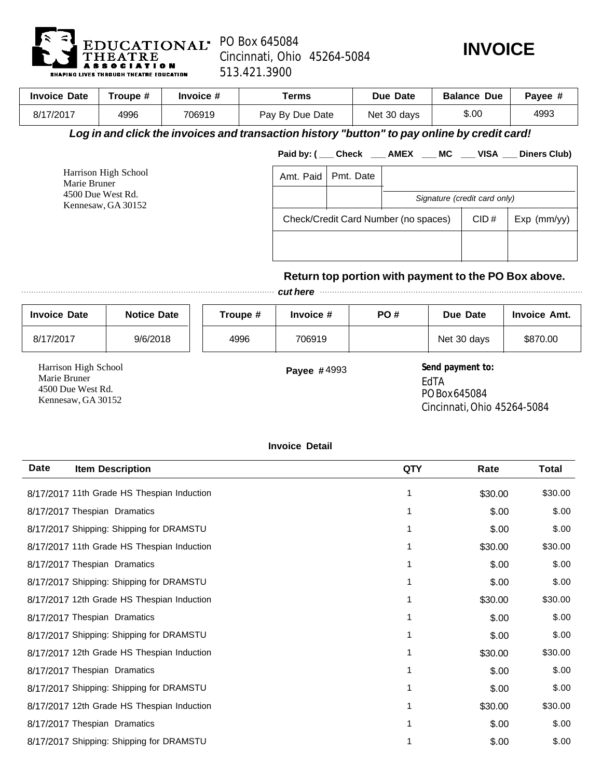

Kennesaw, GA 30152

## Cincinnati, Ohio 45264-5084 513.421.3900



| <b>Invoice Date</b>                                                                          | Troupe # | Invoice # | Terms           |                              | Due Date                     | <b>Balance Due</b> | Payee #             |
|----------------------------------------------------------------------------------------------|----------|-----------|-----------------|------------------------------|------------------------------|--------------------|---------------------|
| 8/17/2017                                                                                    | 4996     | 706919    | Pay By Due Date |                              | Net 30 days                  | \$.00              | 4993                |
| Log in and click the invoices and transaction history "button" to pay online by credit card! |          |           |                 |                              |                              |                    |                     |
|                                                                                              |          |           |                 | Paid by: (Check AMEX MC VISA |                              |                    | <b>Diners Club)</b> |
| Harrison High School<br>Marie Bruner<br>4500 Due West Rd.                                    |          | Amt. Paid | Pmt. Date       |                              |                              |                    |                     |
|                                                                                              |          |           |                 |                              | Cianotura (oradit cord only) |                    |                     |

*Signature (credit card only)*   $CID \#$  | Exp (mm/yy) Check/Credit Card Number (no spaces)

## **Return top portion with payment to the PO Box above.**

*cut here* 

| <b>Invoice Date</b>       | <b>Notice Date</b> | Troupe # | Invoice $#$        | PO# | Due Date         | <b>Invoice Amt.</b> |
|---------------------------|--------------------|----------|--------------------|-----|------------------|---------------------|
| 8/17/2017                 | 9/6/2018           | 4996     | 706919             |     | Net 30 days      | \$870.00            |
| Harrison High School<br>. |                    |          | <b>Payee #4993</b> |     | Send payment to: |                     |

Marie Bruner 4500 Due West Rd. Kennesaw, GA 30152

EdTA PO Box 645084 Cincinnati, Ohio 45264-5084

## **Invoice Detail**

| <b>Date</b> | <b>Item Description</b>                    | <b>QTY</b> | Rate    | <b>Total</b> |
|-------------|--------------------------------------------|------------|---------|--------------|
|             | 8/17/2017 11th Grade HS Thespian Induction |            | \$30.00 | \$30.00      |
|             | 8/17/2017 Thespian Dramatics               |            | \$.00   | \$.00        |
|             | 8/17/2017 Shipping: Shipping for DRAMSTU   | 1          | \$.00   | \$.00        |
|             | 8/17/2017 11th Grade HS Thespian Induction |            | \$30.00 | \$30.00      |
|             | 8/17/2017 Thespian Dramatics               |            | \$.00   | \$.00        |
|             | 8/17/2017 Shipping: Shipping for DRAMSTU   |            | \$.00   | \$.00        |
|             | 8/17/2017 12th Grade HS Thespian Induction |            | \$30.00 | \$30.00      |
|             | 8/17/2017 Thespian Dramatics               |            | \$.00   | \$.00        |
|             | 8/17/2017 Shipping: Shipping for DRAMSTU   |            | \$.00   | \$.00        |
|             | 8/17/2017 12th Grade HS Thespian Induction | 1          | \$30.00 | \$30.00      |
|             | 8/17/2017 Thespian Dramatics               |            | \$.00   | \$.00        |
|             | 8/17/2017 Shipping: Shipping for DRAMSTU   |            | \$.00   | \$.00        |
|             | 8/17/2017 12th Grade HS Thespian Induction | 1          | \$30.00 | \$30.00      |
|             | 8/17/2017 Thespian Dramatics               |            | \$.00   | \$.00        |
|             | 8/17/2017 Shipping: Shipping for DRAMSTU   |            | \$.00   | \$.00        |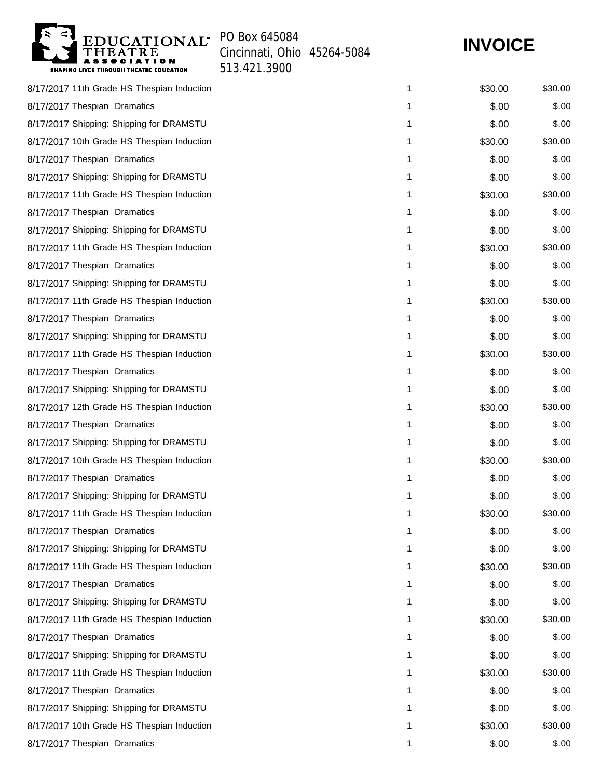

Cincinnati, Ohio 45264-5084

513.421.3900

**INVOICE**

| 8/17/2017 11th Grade HS Thespian Induction | 1 | \$30.00 | \$30.00 |
|--------------------------------------------|---|---------|---------|
| 8/17/2017 Thespian Dramatics               | 1 | \$.00   | \$.00   |
| 8/17/2017 Shipping: Shipping for DRAMSTU   | 1 | \$.00   | \$.00   |
| 8/17/2017 10th Grade HS Thespian Induction | 1 | \$30.00 | \$30.00 |
| 8/17/2017 Thespian Dramatics               | 1 | \$.00   | \$.00   |
| 8/17/2017 Shipping: Shipping for DRAMSTU   | 1 | \$.00   | \$.00   |
| 8/17/2017 11th Grade HS Thespian Induction | 1 | \$30.00 | \$30.00 |
| 8/17/2017 Thespian Dramatics               | 1 | \$.00   | \$.00   |
| 8/17/2017 Shipping: Shipping for DRAMSTU   | 1 | \$.00   | \$.00   |
| 8/17/2017 11th Grade HS Thespian Induction | 1 | \$30.00 | \$30.00 |
| 8/17/2017 Thespian Dramatics               | 1 | \$.00   | \$.00   |
| 8/17/2017 Shipping: Shipping for DRAMSTU   | 1 | \$.00   | \$.00   |
| 8/17/2017 11th Grade HS Thespian Induction | 1 | \$30.00 | \$30.00 |
| 8/17/2017 Thespian Dramatics               | 1 | \$.00   | \$.00   |
| 8/17/2017 Shipping: Shipping for DRAMSTU   | 1 | \$.00   | \$.00   |
| 8/17/2017 11th Grade HS Thespian Induction | 1 | \$30.00 | \$30.00 |
| 8/17/2017 Thespian Dramatics               | 1 | \$.00   | \$.00   |
| 8/17/2017 Shipping: Shipping for DRAMSTU   | 1 | \$.00   | \$.00   |
| 8/17/2017 12th Grade HS Thespian Induction | 1 | \$30.00 | \$30.00 |
| 8/17/2017 Thespian Dramatics               | 1 | \$.00   | \$.00   |
| 8/17/2017 Shipping: Shipping for DRAMSTU   | 1 | \$.00   | \$.00   |
| 8/17/2017 10th Grade HS Thespian Induction | 1 | \$30.00 | \$30.00 |
| 8/17/2017 Thespian Dramatics               | 1 | \$.00   | \$.00   |
| 8/17/2017 Shipping: Shipping for DRAMSTU   | 1 | \$.00   | \$.00   |
| 8/17/2017 11th Grade HS Thespian Induction | 1 | \$30.00 | \$30.00 |
| 8/17/2017 Thespian Dramatics               | 1 | \$.00   | \$.00   |
| 8/17/2017 Shipping: Shipping for DRAMSTU   | 1 | \$.00   | \$.00   |
| 8/17/2017 11th Grade HS Thespian Induction | 1 | \$30.00 | \$30.00 |
| 8/17/2017 Thespian Dramatics               | 1 | \$.00   | \$.00   |
| 8/17/2017 Shipping: Shipping for DRAMSTU   | 1 | \$.00   | \$.00   |
| 8/17/2017 11th Grade HS Thespian Induction | 1 | \$30.00 | \$30.00 |
| 8/17/2017 Thespian Dramatics               | 1 | \$.00   | \$.00   |
| 8/17/2017 Shipping: Shipping for DRAMSTU   | 1 | \$.00   | \$.00   |
| 8/17/2017 11th Grade HS Thespian Induction | 1 | \$30.00 | \$30.00 |
| 8/17/2017 Thespian Dramatics               | 1 | \$.00   | \$.00   |
| 8/17/2017 Shipping: Shipping for DRAMSTU   | 1 | \$.00   | \$.00   |
| 8/17/2017 10th Grade HS Thespian Induction | 1 | \$30.00 | \$30.00 |
| 8/17/2017 Thespian Dramatics               | 1 | \$.00   | \$.00   |
|                                            |   |         |         |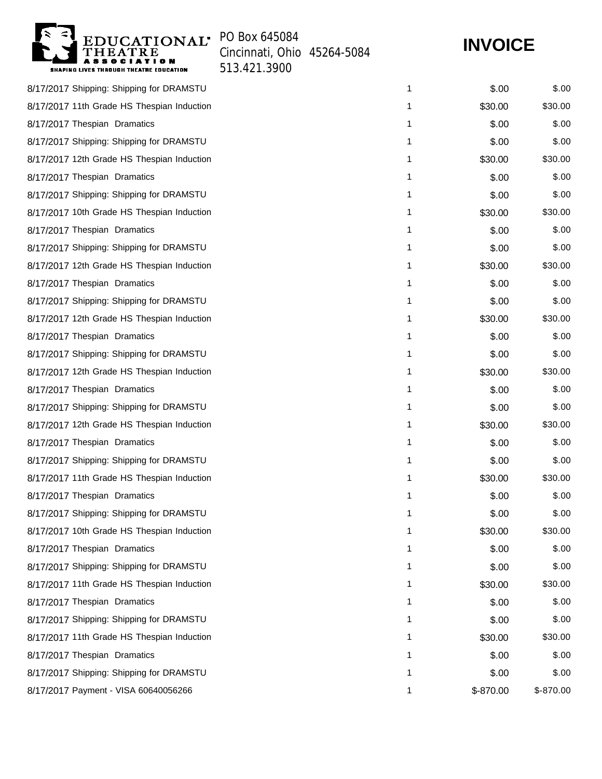EDUCATIONAL<sup>.</sup> PO Box 645084 **ASSOCIATION**<br>SHAPING LIVES THROUGH THEATRE EDUCATION

Cincinnati, Ohio 45264-5084

## **INVOICE**

513.421.3900

| 8/17/2017 Shipping: Shipping for DRAMSTU   | 1 | \$.00     | \$.00     |
|--------------------------------------------|---|-----------|-----------|
| 8/17/2017 11th Grade HS Thespian Induction | 1 | \$30.00   | \$30.00   |
| 8/17/2017 Thespian Dramatics               | 1 | \$.00     | \$.00     |
| 8/17/2017 Shipping: Shipping for DRAMSTU   | 1 | \$.00     | \$.00     |
| 8/17/2017 12th Grade HS Thespian Induction | 1 | \$30.00   | \$30.00   |
| 8/17/2017 Thespian Dramatics               | 1 | \$.00     | \$.00     |
| 8/17/2017 Shipping: Shipping for DRAMSTU   | 1 | \$.00     | \$.00     |
| 8/17/2017 10th Grade HS Thespian Induction | 1 | \$30.00   | \$30.00   |
| 8/17/2017 Thespian Dramatics               | 1 | \$.00     | \$.00     |
| 8/17/2017 Shipping: Shipping for DRAMSTU   | 1 | \$.00     | \$.00     |
| 8/17/2017 12th Grade HS Thespian Induction | 1 | \$30.00   | \$30.00   |
| 8/17/2017 Thespian Dramatics               | 1 | \$.00     | \$.00     |
| 8/17/2017 Shipping: Shipping for DRAMSTU   | 1 | \$.00     | \$.00     |
| 8/17/2017 12th Grade HS Thespian Induction | 1 | \$30.00   | \$30.00   |
| 8/17/2017 Thespian Dramatics               | 1 | \$.00     | \$.00     |
| 8/17/2017 Shipping: Shipping for DRAMSTU   | 1 | \$.00     | \$.00     |
| 8/17/2017 12th Grade HS Thespian Induction | 1 | \$30.00   | \$30.00   |
| 8/17/2017 Thespian Dramatics               | 1 | \$.00     | \$.00     |
| 8/17/2017 Shipping: Shipping for DRAMSTU   | 1 | \$.00     | \$.00     |
| 8/17/2017 12th Grade HS Thespian Induction | 1 | \$30.00   | \$30.00   |
| 8/17/2017 Thespian Dramatics               | 1 | \$.00     | \$.00     |
| 8/17/2017 Shipping: Shipping for DRAMSTU   | 1 | \$.00     | \$.00     |
| 8/17/2017 11th Grade HS Thespian Induction | 1 | \$30.00   | \$30.00   |
| 8/17/2017 Thespian Dramatics               | 1 | \$.00     | \$.00     |
| 8/17/2017 Shipping: Shipping for DRAMSTU   | 1 | \$.00     | \$.00     |
| 8/17/2017 10th Grade HS Thespian Induction | 1 | \$30.00   | \$30.00   |
| 8/17/2017 Thespian Dramatics               | 1 | \$.00     | \$.00     |
| 8/17/2017 Shipping: Shipping for DRAMSTU   | 1 | \$.00     | \$.00     |
| 8/17/2017 11th Grade HS Thespian Induction | 1 | \$30.00   | \$30.00   |
| 8/17/2017 Thespian Dramatics               | 1 | \$.00     | \$.00     |
| 8/17/2017 Shipping: Shipping for DRAMSTU   | 1 | \$.00     | \$.00     |
| 8/17/2017 11th Grade HS Thespian Induction | 1 | \$30.00   | \$30.00   |
| 8/17/2017 Thespian Dramatics               | 1 | \$.00     | \$.00     |
| 8/17/2017 Shipping: Shipping for DRAMSTU   | 1 | \$.00     | \$.00     |
| 8/17/2017 Payment - VISA 60640056266       | 1 | \$-870.00 | \$-870.00 |